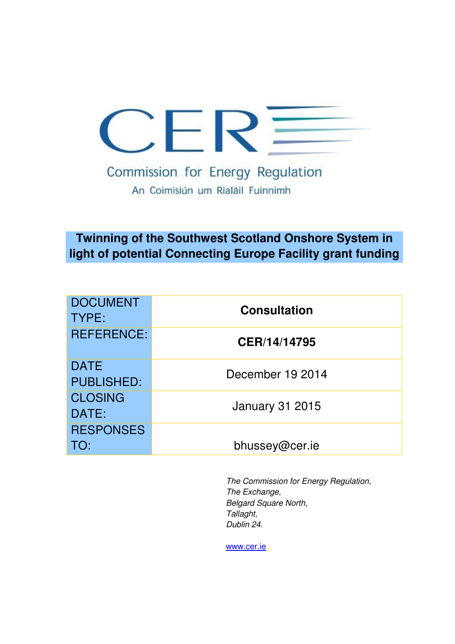

# **Twinning of the Southwest Scotland Onshore System in light of potential Connecting Europe Facility grant funding**

| <b>DOCUMENT</b><br><b>TYPE:</b>  | <b>Consultation</b>    |
|----------------------------------|------------------------|
| <b>REFERENCE:</b>                | CER/14/14795           |
| <b>DATE</b><br><b>PUBLISHED:</b> | December 19 2014       |
| <b>CLOSING</b><br>DATE:          | <b>January 31 2015</b> |
| <b>RESPONSES</b><br>TO:          | bhussey@cer.ie         |

The Commission for Energy Regulation, The Exchange, Belgard Square North, Tallaght, Dublin 24.

www.cer.ie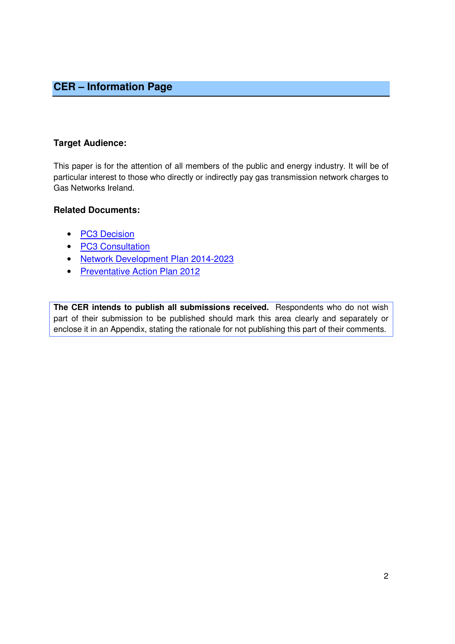### **CER – Information Page**

### **Target Audience:**

This paper is for the attention of all members of the public and energy industry. It will be of particular interest to those who directly or indirectly pay gas transmission network charges to Gas Networks Ireland.

### **Related Documents:**

- PC3 Decision
- PC3 Consultation
- Network Development Plan 2014-2023
- Preventative Action Plan 2012

**The CER intends to publish all submissions received.** Respondents who do not wish part of their submission to be published should mark this area clearly and separately or enclose it in an Appendix, stating the rationale for not publishing this part of their comments.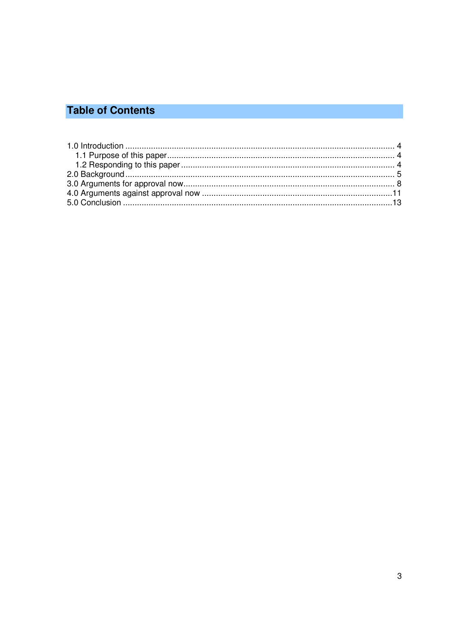# **Table of Contents**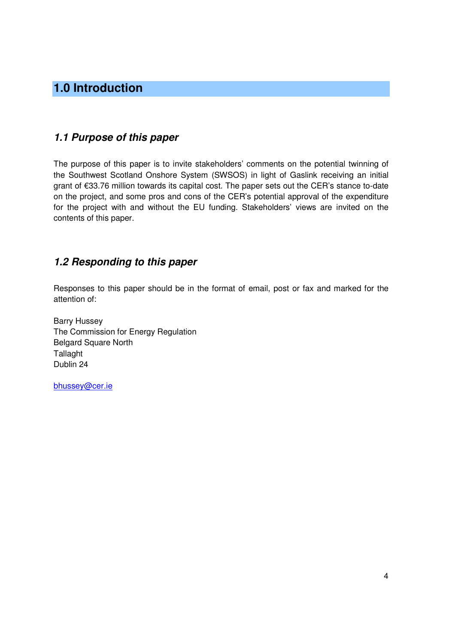## **1.0 Introduction**

### **1.1 Purpose of this paper**

The purpose of this paper is to invite stakeholders' comments on the potential twinning of the Southwest Scotland Onshore System (SWSOS) in light of Gaslink receiving an initial grant of €33.76 million towards its capital cost. The paper sets out the CER's stance to-date on the project, and some pros and cons of the CER's potential approval of the expenditure for the project with and without the EU funding. Stakeholders' views are invited on the contents of this paper.

### **1.2 Responding to this paper**

Responses to this paper should be in the format of email, post or fax and marked for the attention of:

Barry Hussey The Commission for Energy Regulation Belgard Square North **Tallaght** Dublin 24

bhussey@cer.ie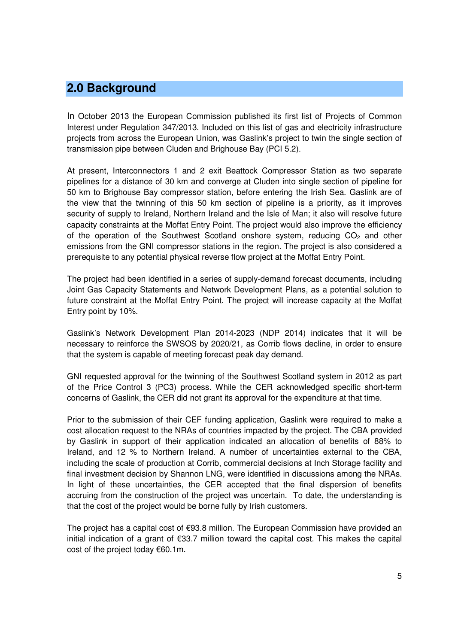### **2.0 Background**

In October 2013 the European Commission published its first list of Projects of Common Interest under Regulation 347/2013. Included on this list of gas and electricity infrastructure projects from across the European Union, was Gaslink's project to twin the single section of transmission pipe between Cluden and Brighouse Bay (PCI 5.2).

At present, Interconnectors 1 and 2 exit Beattock Compressor Station as two separate pipelines for a distance of 30 km and converge at Cluden into single section of pipeline for 50 km to Brighouse Bay compressor station, before entering the Irish Sea. Gaslink are of the view that the twinning of this 50 km section of pipeline is a priority, as it improves security of supply to Ireland, Northern Ireland and the Isle of Man; it also will resolve future capacity constraints at the Moffat Entry Point. The project would also improve the efficiency of the operation of the Southwest Scotland onshore system, reducing  $CO<sub>2</sub>$  and other emissions from the GNI compressor stations in the region. The project is also considered a prerequisite to any potential physical reverse flow project at the Moffat Entry Point.

The project had been identified in a series of supply-demand forecast documents, including Joint Gas Capacity Statements and Network Development Plans, as a potential solution to future constraint at the Moffat Entry Point. The project will increase capacity at the Moffat Entry point by 10%.

Gaslink's Network Development Plan 2014-2023 (NDP 2014) indicates that it will be necessary to reinforce the SWSOS by 2020/21, as Corrib flows decline, in order to ensure that the system is capable of meeting forecast peak day demand.

GNI requested approval for the twinning of the Southwest Scotland system in 2012 as part of the Price Control 3 (PC3) process. While the CER acknowledged specific short-term concerns of Gaslink, the CER did not grant its approval for the expenditure at that time.

Prior to the submission of their CEF funding application, Gaslink were required to make a cost allocation request to the NRAs of countries impacted by the project. The CBA provided by Gaslink in support of their application indicated an allocation of benefits of 88% to Ireland, and 12 % to Northern Ireland. A number of uncertainties external to the CBA, including the scale of production at Corrib, commercial decisions at Inch Storage facility and final investment decision by Shannon LNG, were identified in discussions among the NRAs. In light of these uncertainties, the CER accepted that the final dispersion of benefits accruing from the construction of the project was uncertain. To date, the understanding is that the cost of the project would be borne fully by Irish customers.

The project has a capital cost of €93.8 million. The European Commission have provided an initial indication of a grant of €33.7 million toward the capital cost. This makes the capital cost of the project today €60.1m.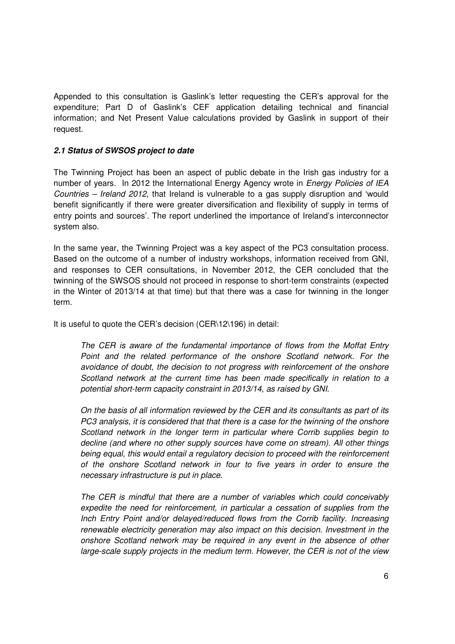Appended to this consultation is Gaslink's letter requesting the CER's approval for the expenditure; Part D of Gaslink's CEF application detailing technical and financial information; and Net Present Value calculations provided by Gaslink in support of their request.

#### **2.1 Status of SWSOS project to date**

The Twinning Project has been an aspect of public debate in the Irish gas industry for a number of years. In 2012 the International Energy Agency wrote in *Energy Policies of IEA* Countries – Ireland 2012, that Ireland is vulnerable to a gas supply disruption and 'would benefit significantly if there were greater diversification and flexibility of supply in terms of entry points and sources'. The report underlined the importance of Ireland's interconnector system also.

In the same year, the Twinning Project was a key aspect of the PC3 consultation process. Based on the outcome of a number of industry workshops, information received from GNI, and responses to CER consultations, in November 2012, the CER concluded that the twinning of the SWSOS should not proceed in response to short-term constraints (expected in the Winter of 2013/14 at that time) but that there was a case for twinning in the longer term.

It is useful to quote the CER's decision (CER\12\196) in detail:

The CER is aware of the fundamental importance of flows from the Moffat Entry Point and the related performance of the onshore Scotland network. For the avoidance of doubt, the decision to not progress with reinforcement of the onshore Scotland network at the current time has been made specifically in relation to a potential short-term capacity constraint in 2013/14, as raised by GNI.

On the basis of all information reviewed by the CER and its consultants as part of its PC3 analysis, it is considered that that there is a case for the twinning of the onshore Scotland network in the longer term in particular where Corrib supplies begin to decline (and where no other supply sources have come on stream). All other things being equal, this would entail a regulatory decision to proceed with the reinforcement of the onshore Scotland network in four to five years in order to ensure the necessary infrastructure is put in place.

The CER is mindful that there are a number of variables which could conceivably expedite the need for reinforcement, in particular a cessation of supplies from the Inch Entry Point and/or delayed/reduced flows from the Corrib facility. Increasing renewable electricity generation may also impact on this decision. Investment in the onshore Scotland network may be required in any event in the absence of other large-scale supply projects in the medium term. However, the CER is not of the view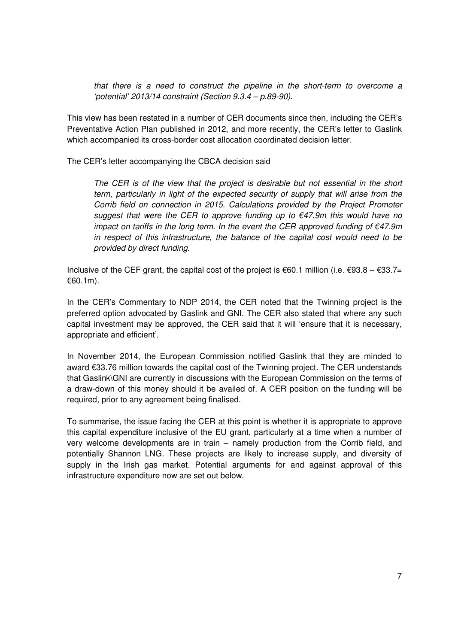that there is a need to construct the pipeline in the short-term to overcome a 'potential' 2013/14 constraint (Section 9.3.4 – p.89-90).

This view has been restated in a number of CER documents since then, including the CER's Preventative Action Plan published in 2012, and more recently, the CER's letter to Gaslink which accompanied its cross-border cost allocation coordinated decision letter.

The CER's letter accompanying the CBCA decision said

The CER is of the view that the project is desirable but not essential in the short term, particularly in light of the expected security of supply that will arise from the Corrib field on connection in 2015. Calculations provided by the Project Promoter suggest that were the CER to approve funding up to  $\epsilon$ 47.9m this would have no impact on tariffs in the long term. In the event the CER approved funding of  $\epsilon$ 47.9m in respect of this infrastructure, the balance of the capital cost would need to be provided by direct funding.

Inclusive of the CEF grant, the capital cost of the project is  $\epsilon$ 60.1 million (i.e.  $\epsilon$ 93.8 –  $\epsilon$ 33.7= €60.1m).

In the CER's Commentary to NDP 2014, the CER noted that the Twinning project is the preferred option advocated by Gaslink and GNI. The CER also stated that where any such capital investment may be approved, the CER said that it will 'ensure that it is necessary, appropriate and efficient'.

In November 2014, the European Commission notified Gaslink that they are minded to award €33.76 million towards the capital cost of the Twinning project. The CER understands that Gaslink\GNI are currently in discussions with the European Commission on the terms of a draw-down of this money should it be availed of. A CER position on the funding will be required, prior to any agreement being finalised.

To summarise, the issue facing the CER at this point is whether it is appropriate to approve this capital expenditure inclusive of the EU grant, particularly at a time when a number of very welcome developments are in train – namely production from the Corrib field, and potentially Shannon LNG. These projects are likely to increase supply, and diversity of supply in the Irish gas market. Potential arguments for and against approval of this infrastructure expenditure now are set out below.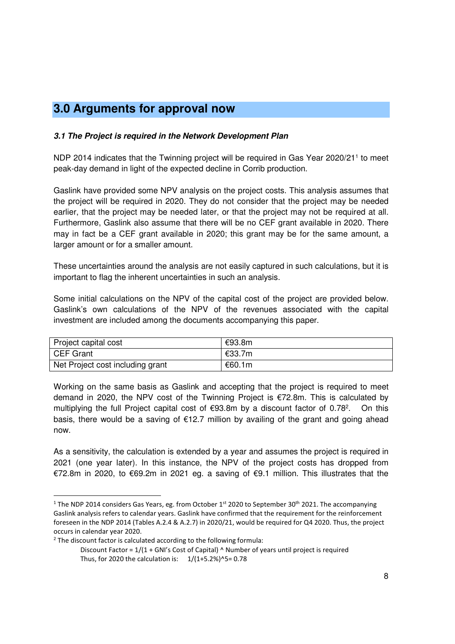## **3.0 Arguments for approval now**

### **3.1 The Project is required in the Network Development Plan**

NDP 2014 indicates that the Twinning project will be required in Gas Year 2020/21<sup>1</sup> to meet peak-day demand in light of the expected decline in Corrib production.

Gaslink have provided some NPV analysis on the project costs. This analysis assumes that the project will be required in 2020. They do not consider that the project may be needed earlier, that the project may be needed later, or that the project may not be required at all. Furthermore, Gaslink also assume that there will be no CEF grant available in 2020. There may in fact be a CEF grant available in 2020; this grant may be for the same amount, a larger amount or for a smaller amount.

These uncertainties around the analysis are not easily captured in such calculations, but it is important to flag the inherent uncertainties in such an analysis.

Some initial calculations on the NPV of the capital cost of the project are provided below. Gaslink's own calculations of the NPV of the revenues associated with the capital investment are included among the documents accompanying this paper.

| Project capital cost             | €93.8m |
|----------------------------------|--------|
| CEF Grant                        | €33.7m |
| Net Project cost including grant | €60.1m |

Working on the same basis as Gaslink and accepting that the project is required to meet demand in 2020, the NPV cost of the Twinning Project is €72.8m. This is calculated by multiplying the full Project capital cost of  $\epsilon$ 93.8m by a discount factor of 0.78<sup>2</sup>. . On this basis, there would be a saving of €12.7 million by availing of the grant and going ahead now.

As a sensitivity, the calculation is extended by a year and assumes the project is required in 2021 (one year later). In this instance, the NPV of the project costs has dropped from €72.8m in 2020, to €69.2m in 2021 eg. a saving of €9.1 million. This illustrates that the

 $\overline{a}$ 

<sup>&</sup>lt;sup>1</sup> The NDP 2014 considers Gas Years, eg. from October 1<sup>st</sup> 2020 to September 30<sup>th</sup> 2021. The accompanying Gaslink analysis refers to calendar years. Gaslink have confirmed that the requirement for the reinforcement foreseen in the NDP 2014 (Tables A.2.4 & A.2.7) in 2020/21, would be required for Q4 2020. Thus, the project occurs in calendar year 2020.

<sup>&</sup>lt;sup>2</sup> The discount factor is calculated according to the following formula:

Discount Factor =  $1/(1 + GN)'s$  Cost of Capital)  $\wedge$  Number of years until project is required Thus, for 2020 the calculation is:  $1/(1+5.2%)$ <sup>5=</sup> 0.78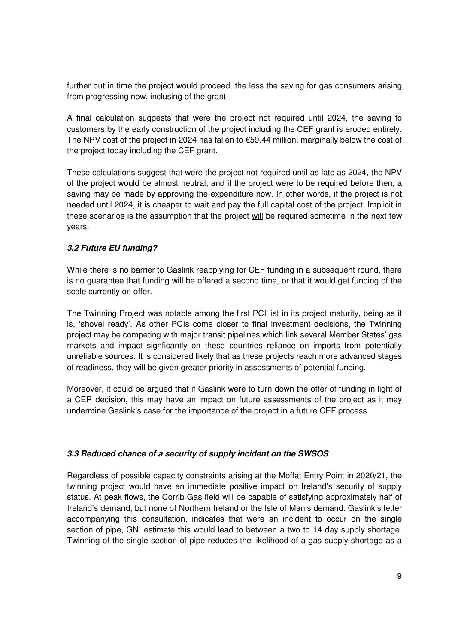further out in time the project would proceed, the less the saving for gas consumers arising from progressing now, inclusing of the grant.

A final calculation suggests that were the project not required until 2024, the saving to customers by the early construction of the project including the CEF grant is eroded entirely. The NPV cost of the project in 2024 has fallen to €59.44 million, marginally below the cost of the project today including the CEF grant.

These calculations suggest that were the project not required until as late as 2024, the NPV of the project would be almost neutral, and if the project were to be required before then, a saving may be made by approving the expenditure now. In other words, if the project is not needed until 2024, it is cheaper to wait and pay the full capital cost of the project. Implicit in these scenarios is the assumption that the project will be required sometime in the next few years.

### **3.2 Future EU funding?**

While there is no barrier to Gaslink reapplying for CEF funding in a subsequent round, there is no guarantee that funding will be offered a second time, or that it would get funding of the scale currently on offer.

The Twinning Project was notable among the first PCI list in its project maturity, being as it is, 'shovel ready'. As other PCIs come closer to final investment decisions, the Twinning project may be competing with major transit pipelines which link several Member States' gas markets and impact signficantly on these countries reliance on imports from potentially unreliable sources. It is considered likely that as these projects reach more advanced stages of readiness, they will be given greater priority in assessments of potential funding.

Moreover, it could be argued that if Gaslink were to turn down the offer of funding in light of a CER decision, this may have an impact on future assessments of the project as it may undermine Gaslink's case for the importance of the project in a future CEF process.

#### **3.3 Reduced chance of a security of supply incident on the SWSOS**

Regardless of possible capacity constraints arising at the Moffat Entry Point in 2020/21, the twinning project would have an immediate positive impact on Ireland's security of supply status. At peak flows, the Corrib Gas field will be capable of satisfying approximately half of Ireland's demand, but none of Northern Ireland or the Isle of Man's demand. Gaslink's letter accompanying this consultation, indicates that were an incident to occur on the single section of pipe, GNI estimate this would lead to between a two to 14 day supply shortage. Twinning of the single section of pipe reduces the likelihood of a gas supply shortage as a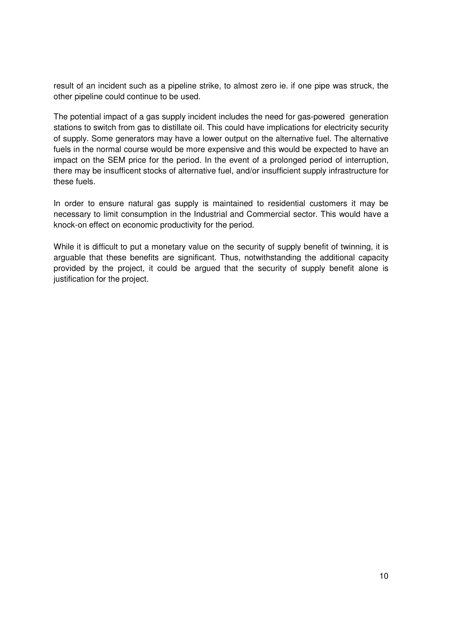result of an incident such as a pipeline strike, to almost zero ie. if one pipe was struck, the other pipeline could continue to be used.

The potential impact of a gas supply incident includes the need for gas-powered generation stations to switch from gas to distillate oil. This could have implications for electricity security of supply. Some generators may have a lower output on the alternative fuel. The alternative fuels in the normal course would be more expensive and this would be expected to have an impact on the SEM price for the period. In the event of a prolonged period of interruption, there may be insufficent stocks of alternative fuel, and/or insufficient supply infrastructure for these fuels.

In order to ensure natural gas supply is maintained to residential customers it may be necessary to limit consumption in the Industrial and Commercial sector. This would have a knock-on effect on economic productivity for the period.

While it is difficult to put a monetary value on the security of supply benefit of twinning, it is arguable that these benefits are significant. Thus, notwithstanding the additional capacity provided by the project, it could be argued that the security of supply benefit alone is justification for the project.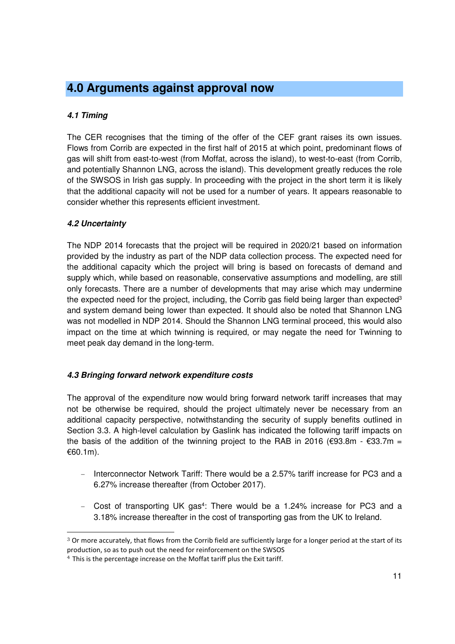## **4.0 Arguments against approval now**

### **4.1 Timing**

The CER recognises that the timing of the offer of the CEF grant raises its own issues. Flows from Corrib are expected in the first half of 2015 at which point, predominant flows of gas will shift from east-to-west (from Moffat, across the island), to west-to-east (from Corrib, and potentially Shannon LNG, across the island). This development greatly reduces the role of the SWSOS in Irish gas supply. In proceeding with the project in the short term it is likely that the additional capacity will not be used for a number of years. It appears reasonable to consider whether this represents efficient investment.

### **4.2 Uncertainty**

 $\overline{a}$ 

The NDP 2014 forecasts that the project will be required in 2020/21 based on information provided by the industry as part of the NDP data collection process. The expected need for the additional capacity which the project will bring is based on forecasts of demand and supply which, while based on reasonable, conservative assumptions and modelling, are still only forecasts. There are a number of developments that may arise which may undermine the expected need for the project, including, the Corrib gas field being larger than expected<sup>3</sup> and system demand being lower than expected. It should also be noted that Shannon LNG was not modelled in NDP 2014. Should the Shannon LNG terminal proceed, this would also impact on the time at which twinning is required, or may negate the need for Twinning to meet peak day demand in the long-term.

### **4.3 Bringing forward network expenditure costs**

The approval of the expenditure now would bring forward network tariff increases that may not be otherwise be required, should the project ultimately never be necessary from an additional capacity perspective, notwithstanding the security of supply benefits outlined in Section 3.3. A high-level calculation by Gaslink has indicated the following tariff impacts on the basis of the addition of the twinning project to the RAB in 2016 ( $\epsilon$ 93.8m -  $\epsilon$ 33.7m = €60.1m).

- Interconnector Network Tariff: There would be a 2.57% tariff increase for PC3 and a 6.27% increase thereafter (from October 2017).
- Cost of transporting UK gas<sup>4</sup>: There would be a 1.24% increase for PC3 and a 3.18% increase thereafter in the cost of transporting gas from the UK to Ireland.

<sup>3</sup> Or more accurately, that flows from the Corrib field are sufficiently large for a longer period at the start of its production, so as to push out the need for reinforcement on the SWSOS

<sup>4</sup> This is the percentage increase on the Moffat tariff plus the Exit tariff.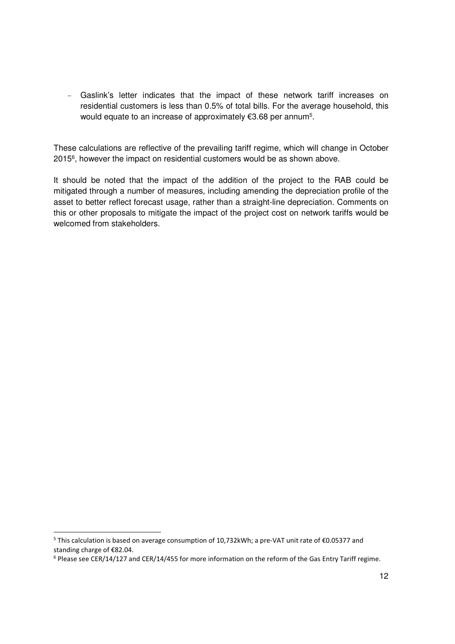- Gaslink's letter indicates that the impact of these network tariff increases on residential customers is less than 0.5% of total bills. For the average household, this would equate to an increase of approximately €3.68 per annum<sup>5</sup>.

These calculations are reflective of the prevailing tariff regime, which will change in October 2015<sup>6</sup> , however the impact on residential customers would be as shown above.

It should be noted that the impact of the addition of the project to the RAB could be mitigated through a number of measures, including amending the depreciation profile of the asset to better reflect forecast usage, rather than a straight-line depreciation. Comments on this or other proposals to mitigate the impact of the project cost on network tariffs would be welcomed from stakeholders.

 $\overline{a}$ 

<sup>&</sup>lt;sup>5</sup> This calculation is based on average consumption of 10,732kWh; a pre-VAT unit rate of €0.05377 and standing charge of €82.04.

<sup>&</sup>lt;sup>6</sup> Please see CER/14/127 and CER/14/455 for more information on the reform of the Gas Entry Tariff regime.